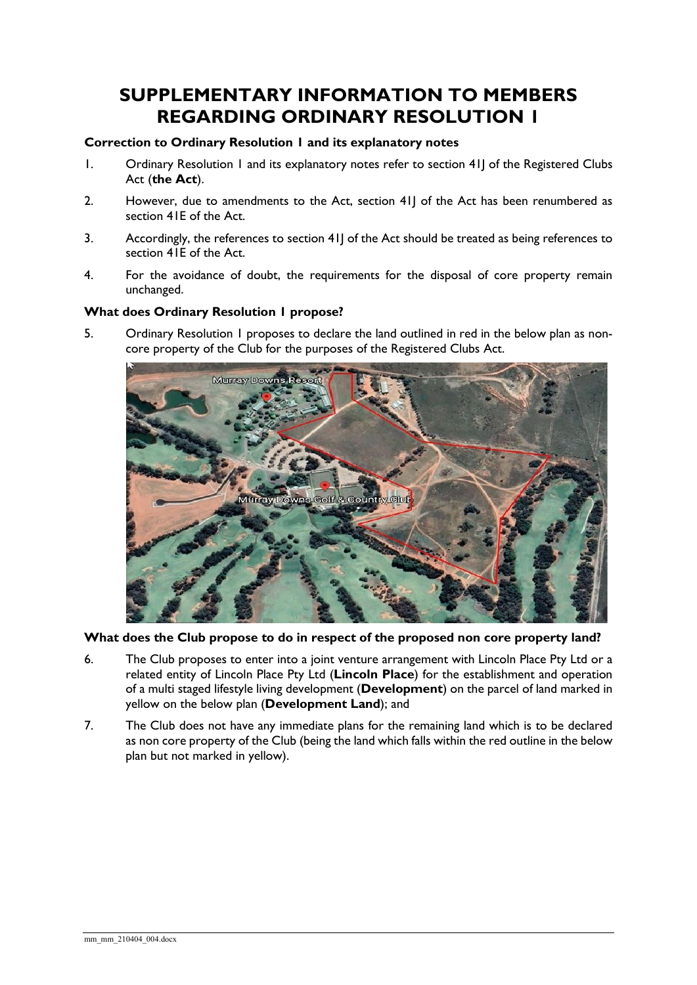# **SUPPLEMENTARY INFORMATION TO MEMBERS REGARDING ORDINARY RESOLUTION 1**

### **Correction to Ordinary Resolution 1 and its explanatory notes**

- 1. Ordinary Resolution 1 and its explanatory notes refer to section 41J of the Registered Clubs Act (**the Act**).
- 2. However, due to amendments to the Act, section 41J of the Act has been renumbered as section 41E of the Act.
- 3. Accordingly, the references to section 41J of the Act should be treated as being references to section 41E of the Act.
- 4. For the avoidance of doubt, the requirements for the disposal of core property remain unchanged.

## **What does Ordinary Resolution 1 propose?**

5. Ordinary Resolution 1 proposes to declare the land outlined in red in the below plan as noncore property of the Club for the purposes of the Registered Clubs Act.



**What does the Club propose to do in respect of the proposed non core property land?**

- 6. The Club proposes to enter into a joint venture arrangement with Lincoln Place Pty Ltd or a related entity of Lincoln Place Pty Ltd (**Lincoln Place**) for the establishment and operation of a multi staged lifestyle living development (**Development**) on the parcel of land marked in yellow on the below plan (**Development Land**); and
- 7. The Club does not have any immediate plans for the remaining land which is to be declared as non core property of the Club (being the land which falls within the red outline in the below plan but not marked in yellow).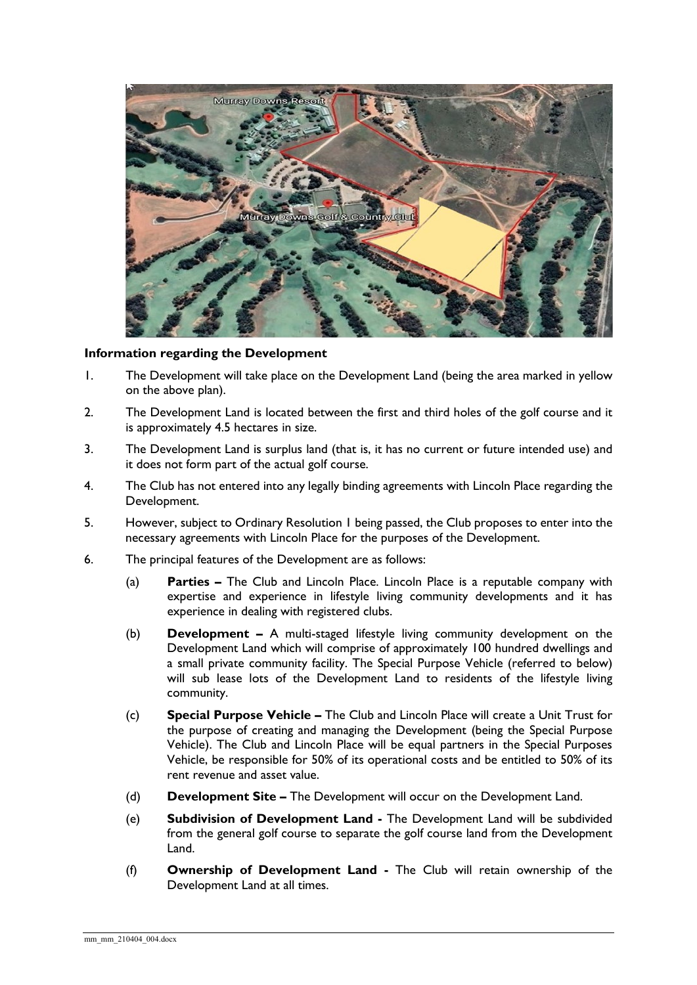

#### **Information regarding the Development**

- 1. The Development will take place on the Development Land (being the area marked in yellow on the above plan).
- 2. The Development Land is located between the first and third holes of the golf course and it is approximately 4.5 hectares in size.
- 3. The Development Land is surplus land (that is, it has no current or future intended use) and it does not form part of the actual golf course.
- 4. The Club has not entered into any legally binding agreements with Lincoln Place regarding the Development.
- 5. However, subject to Ordinary Resolution 1 being passed, the Club proposes to enter into the necessary agreements with Lincoln Place for the purposes of the Development.
- 6. The principal features of the Development are as follows:
	- (a) **Parties –** The Club and Lincoln Place. Lincoln Place is a reputable company with expertise and experience in lifestyle living community developments and it has experience in dealing with registered clubs.
	- (b) **Development –** A multi-staged lifestyle living community development on the Development Land which will comprise of approximately 100 hundred dwellings and a small private community facility. The Special Purpose Vehicle (referred to below) will sub lease lots of the Development Land to residents of the lifestyle living community.
	- (c) **Special Purpose Vehicle –** The Club and Lincoln Place will create a Unit Trust for the purpose of creating and managing the Development (being the Special Purpose Vehicle). The Club and Lincoln Place will be equal partners in the Special Purposes Vehicle, be responsible for 50% of its operational costs and be entitled to 50% of its rent revenue and asset value.
	- (d) **Development Site –** The Development will occur on the Development Land.
	- (e) **Subdivision of Development Land -** The Development Land will be subdivided from the general golf course to separate the golf course land from the Development Land.
	- (f) **Ownership of Development Land -** The Club will retain ownership of the Development Land at all times.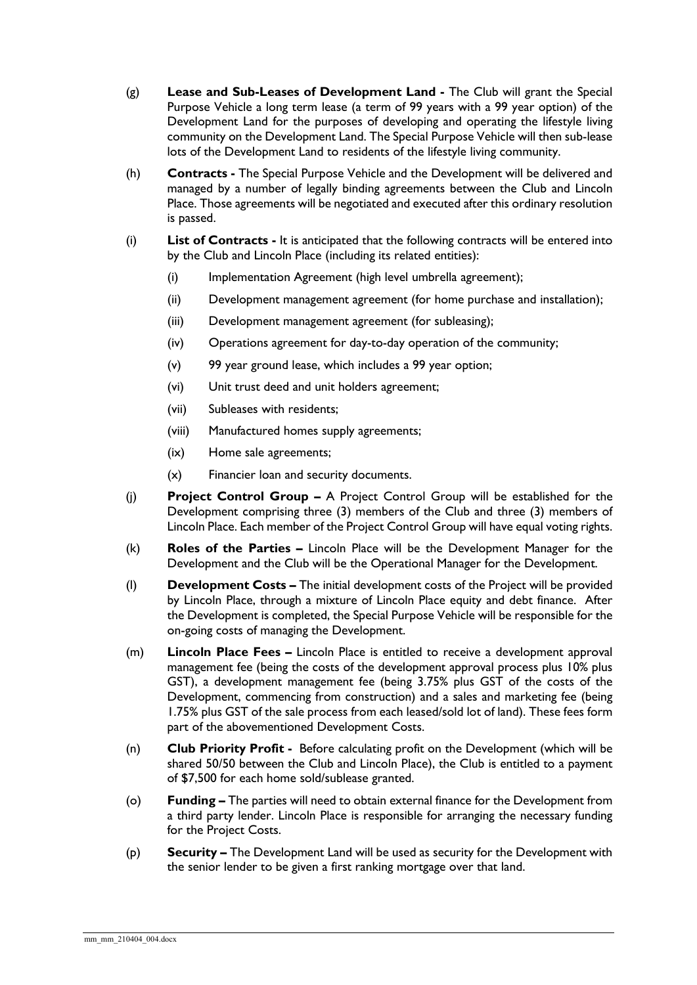- (g) **Lease and Sub-Leases of Development Land -** The Club will grant the Special Purpose Vehicle a long term lease (a term of 99 years with a 99 year option) of the Development Land for the purposes of developing and operating the lifestyle living community on the Development Land. The Special Purpose Vehicle will then sub-lease lots of the Development Land to residents of the lifestyle living community.
- (h) **Contracts -** The Special Purpose Vehicle and the Development will be delivered and managed by a number of legally binding agreements between the Club and Lincoln Place. Those agreements will be negotiated and executed after this ordinary resolution is passed.
- (i) **List of Contracts -** It is anticipated that the following contracts will be entered into by the Club and Lincoln Place (including its related entities):
	- (i) Implementation Agreement (high level umbrella agreement);
	- (ii) Development management agreement (for home purchase and installation);
	- (iii) Development management agreement (for subleasing);
	- (iv) Operations agreement for day-to-day operation of the community;
	- (v) 99 year ground lease, which includes a 99 year option;
	- (vi) Unit trust deed and unit holders agreement;
	- (vii) Subleases with residents;
	- (viii) Manufactured homes supply agreements;
	- (ix) Home sale agreements;
	- (x) Financier loan and security documents.
- (j) **Project Control Group –** A Project Control Group will be established for the Development comprising three (3) members of the Club and three (3) members of Lincoln Place. Each member of the Project Control Group will have equal voting rights.
- (k) **Roles of the Parties –** Lincoln Place will be the Development Manager for the Development and the Club will be the Operational Manager for the Development.
- (l) **Development Costs –** The initial development costs of the Project will be provided by Lincoln Place, through a mixture of Lincoln Place equity and debt finance. After the Development is completed, the Special Purpose Vehicle will be responsible for the on-going costs of managing the Development.
- (m) **Lincoln Place Fees –** Lincoln Place is entitled to receive a development approval management fee (being the costs of the development approval process plus 10% plus GST), a development management fee (being 3.75% plus GST of the costs of the Development, commencing from construction) and a sales and marketing fee (being 1.75% plus GST of the sale process from each leased/sold lot of land). These fees form part of the abovementioned Development Costs.
- (n) **Club Priority Profit** Before calculating profit on the Development (which will be shared 50/50 between the Club and Lincoln Place), the Club is entitled to a payment of \$7,500 for each home sold/sublease granted.
- (o) **Funding –** The parties will need to obtain external finance for the Development from a third party lender. Lincoln Place is responsible for arranging the necessary funding for the Project Costs.
- (p) **Security –** The Development Land will be used as security for the Development with the senior lender to be given a first ranking mortgage over that land.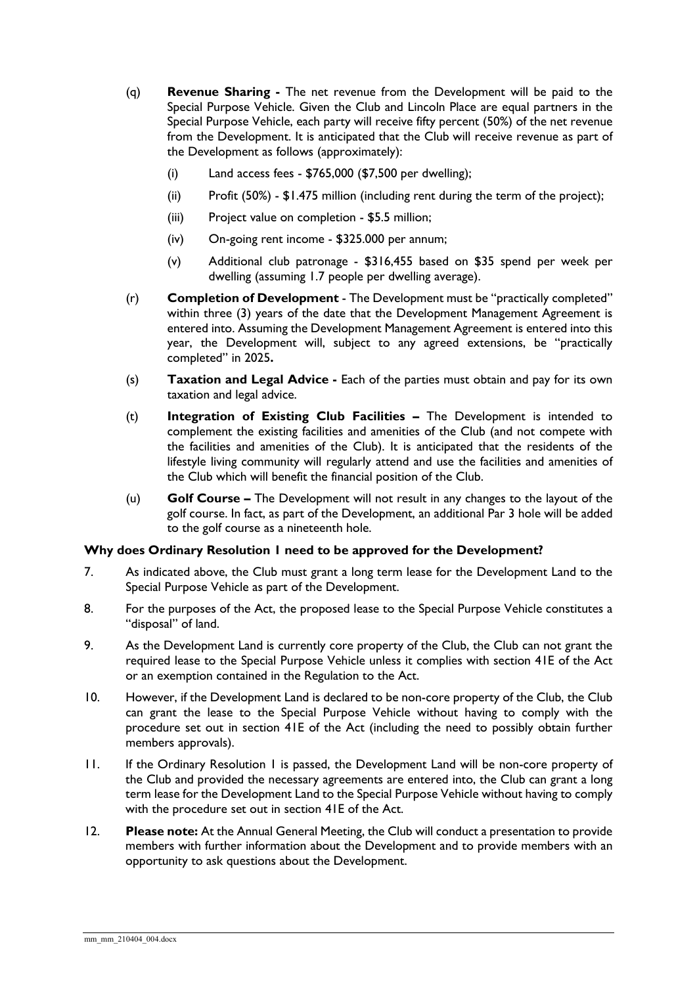- (q) **Revenue Sharing -** The net revenue from the Development will be paid to the Special Purpose Vehicle. Given the Club and Lincoln Place are equal partners in the Special Purpose Vehicle, each party will receive fifty percent (50%) of the net revenue from the Development. It is anticipated that the Club will receive revenue as part of the Development as follows (approximately):
	- (i) Land access fees \$765,000 (\$7,500 per dwelling);
	- (ii) Profit (50%) \$1.475 million (including rent during the term of the project);
	- (iii) Project value on completion \$5.5 million;
	- (iv) On-going rent income \$325.000 per annum;
	- (v) Additional club patronage \$316,455 based on \$35 spend per week per dwelling (assuming 1.7 people per dwelling average).
- (r) **Completion of Development** The Development must be "practically completed" within three (3) years of the date that the Development Management Agreement is entered into. Assuming the Development Management Agreement is entered into this year, the Development will, subject to any agreed extensions, be "practically completed" in 2025**.**
- (s) **Taxation and Legal Advice -** Each of the parties must obtain and pay for its own taxation and legal advice.
- (t) **Integration of Existing Club Facilities –** The Development is intended to complement the existing facilities and amenities of the Club (and not compete with the facilities and amenities of the Club). It is anticipated that the residents of the lifestyle living community will regularly attend and use the facilities and amenities of the Club which will benefit the financial position of the Club.
- (u) **Golf Course –** The Development will not result in any changes to the layout of the golf course. In fact, as part of the Development, an additional Par 3 hole will be added to the golf course as a nineteenth hole.

#### **Why does Ordinary Resolution 1 need to be approved for the Development?**

- 7. As indicated above, the Club must grant a long term lease for the Development Land to the Special Purpose Vehicle as part of the Development.
- 8. For the purposes of the Act, the proposed lease to the Special Purpose Vehicle constitutes a "disposal" of land.
- 9. As the Development Land is currently core property of the Club, the Club can not grant the required lease to the Special Purpose Vehicle unless it complies with section 41E of the Act or an exemption contained in the Regulation to the Act.
- 10. However, if the Development Land is declared to be non-core property of the Club, the Club can grant the lease to the Special Purpose Vehicle without having to comply with the procedure set out in section 41E of the Act (including the need to possibly obtain further members approvals).
- 11. If the Ordinary Resolution 1 is passed, the Development Land will be non-core property of the Club and provided the necessary agreements are entered into, the Club can grant a long term lease for the Development Land to the Special Purpose Vehicle without having to comply with the procedure set out in section 41E of the Act.
- 12. **Please note:** At the Annual General Meeting, the Club will conduct a presentation to provide members with further information about the Development and to provide members with an opportunity to ask questions about the Development.